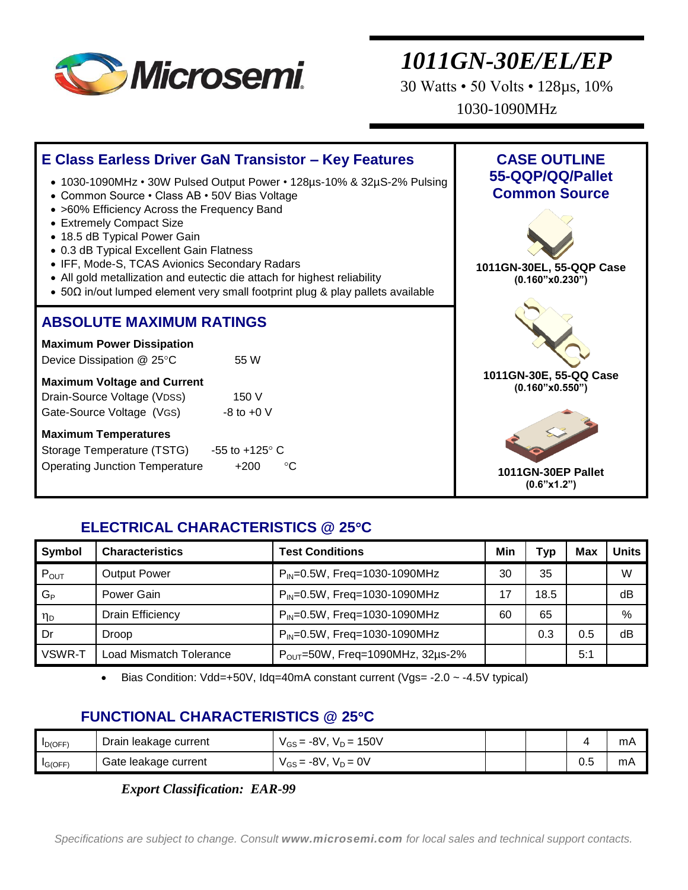

30 Watts • 50 Volts • 128µs, 10% 1030-1090MHz



### **ELECTRICAL CHARACTERISTICS @ 25C**

| Symbol              | <b>Characteristics</b>  | <b>Test Conditions</b>                       | Min | Typ  | <b>Max</b> | <b>Units</b> |
|---------------------|-------------------------|----------------------------------------------|-----|------|------------|--------------|
| $P_{OUT}$           | <b>Output Power</b>     | $P_{IN} = 0.5W$ , Freq=1030-1090MHz          | 30  | 35   |            | W            |
| $G_{\rm P}$         | Power Gain              | $P_{IN} = 0.5W$ , Freq=1030-1090MHz          | 17  | 18.5 |            | dB           |
| $\eta_{\mathsf{D}}$ | <b>Drain Efficiency</b> | $P_{IN} = 0.5W$ , Freq=1030-1090MHz          | 60  | 65   |            | %            |
| Dr                  | <b>Droop</b>            | $P_{IN} = 0.5W$ , Freq=1030-1090MHz          |     | 0.3  | 0.5        | dB           |
| VSWR-T              | Load Mismatch Tolerance | $P_{\text{OUT}}$ =50W, Freq=1090MHz, 32µs-2% |     |      | 5:1        |              |

Bias Condition: Vdd=+50V, Idq=40mA constant current (Vgs= -2.0 ~ -4.5V typical)

### **FUNCTIONAL CHARACTERISTICS @ 25C**

| $I_{D(OFF)}$ | Drain leakage current | $V_D = 150V$<br>⊶8V<br>$V_{GS} =$ |    | mA |
|--------------|-----------------------|-----------------------------------|----|----|
| IG(OFF)      | Gate leakage current  | ∴-8\,<br>$V_D = 0V$<br>$V_{GS} =$ | ◡. | mA |

*Export Classification: EAR-99*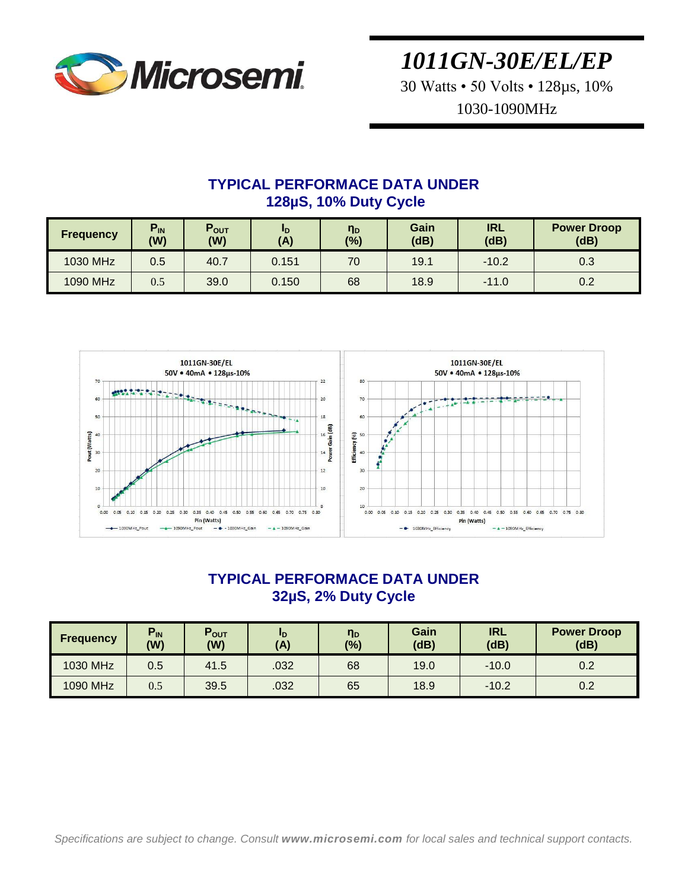

30 Watts • 50 Volts • 128µs, 10% 1030-1090MHz

### **TYPICAL PERFORMACE DATA UNDER 128µS, 10% Duty Cycle**

| <b>Frequency</b> | $P_{IN}$<br>(W) | $P_{OUT}$<br>(W) | <b>ID</b><br>(A) | n <sub>D</sub><br>(%) | Gain<br>(dB) | <b>IRL</b><br>(dB) | <b>Power Droop</b><br>(dB) |
|------------------|-----------------|------------------|------------------|-----------------------|--------------|--------------------|----------------------------|
| 1030 MHz         | 0.5             | 40.7             | 0.151            | 70                    | 19.1         | $-10.2$            | 0.3                        |
| 1090 MHz         | 0.5             | 39.0             | 0.150            | 68                    | 18.9         | $-11.0$            | 0.2                        |



### **TYPICAL PERFORMACE DATA UNDER 32µS, 2% Duty Cycle**

| <b>Frequency</b> | $P_{IN}$<br>(W) | $P_{OUT}$<br>(W) | <u>ID</u><br>(A) | η <sub>D</sub><br>$(\%)$ | Gain<br>(dB) | <b>IRL</b><br>(dB) | <b>Power Droop</b><br>(dB) |
|------------------|-----------------|------------------|------------------|--------------------------|--------------|--------------------|----------------------------|
| 1030 MHz         | 0.5             | 41.5             | .032             | 68                       | 19.0         | $-10.0$            | 0.2                        |
| 1090 MHz         | 0.5             | 39.5             | .032             | 65                       | 18.9         | $-10.2$            | 0.2                        |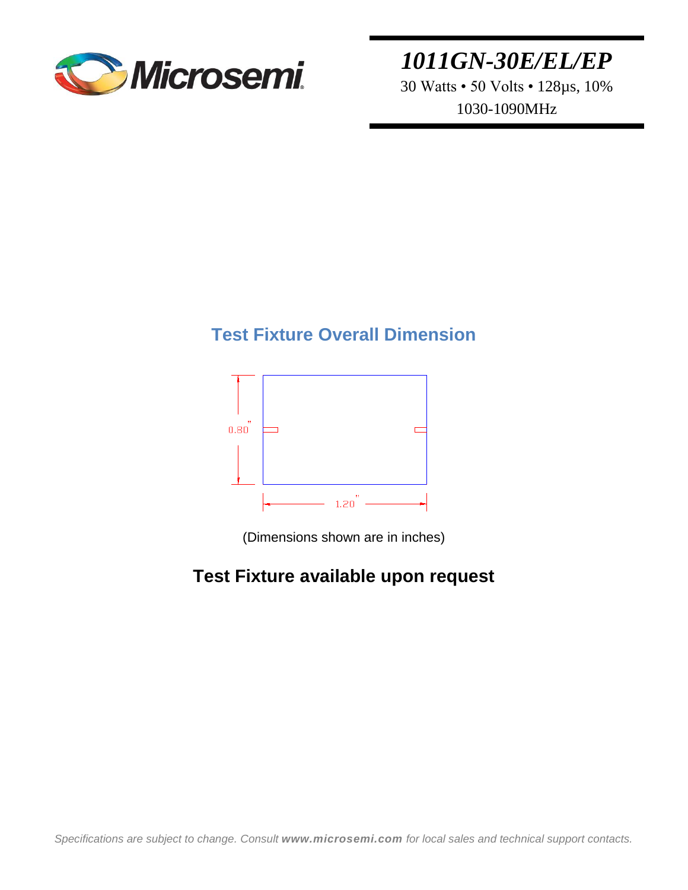

30 Watts • 50 Volts • 128µs, 10% 1030-1090MHz

## **Test Fixture Overall Dimension**



(Dimensions shown are in inches)

## **Test Fixture available upon request**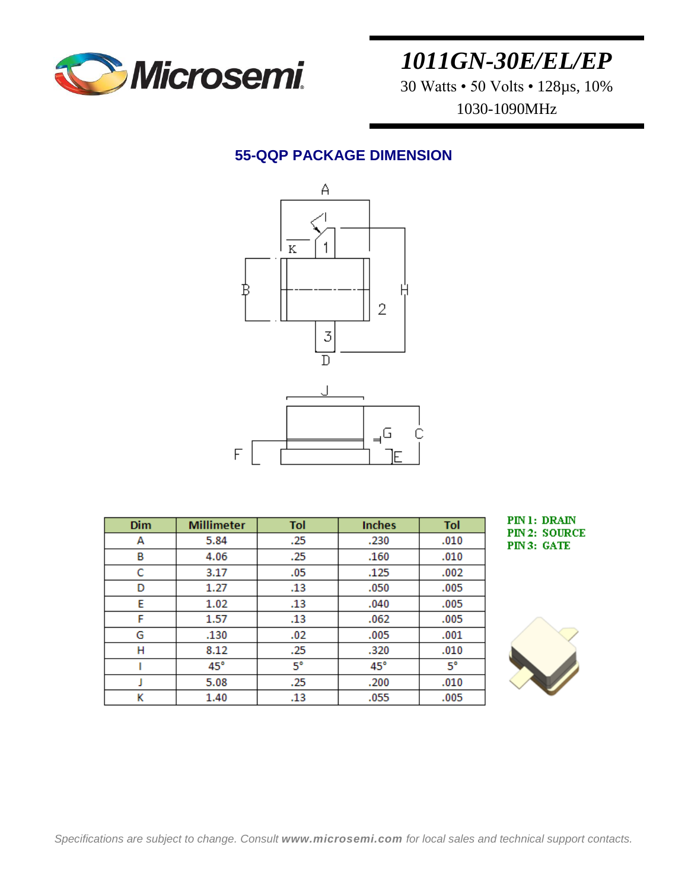

30 Watts • 50 Volts • 128µs, 10% 1030-1090MHz

### **55-QQP PACKAGE DIMENSION**



| <b>Dim</b> | <b>Millimeter</b> | Tol         | <b>Inches</b> | Tol         |
|------------|-------------------|-------------|---------------|-------------|
| А          | 5.84              | .25         | .230          | .010        |
| в          | 4.06              | .25         | .160          | .010        |
| с          | 3.17              | .05         | .125          | .002        |
| D          | 1.27              | .13         | .050          | .005        |
| E          | 1.02              | .13         | .040          | .005        |
| F          | 1.57              | .13         | .062          | .005        |
| G          | .130              | .02         | .005          | .001        |
| н          | 8.12              | .25         | .320          | .010        |
|            | $45^{\circ}$      | $5^{\circ}$ | $45^{\circ}$  | $5^{\circ}$ |
|            | 5.08              | .25         | .200          | .010        |
| κ          | 1.40              | .13         | .055          | .005        |

PIN1: DRAIN **PIN 2: SOURCE** PIN 3: GATE

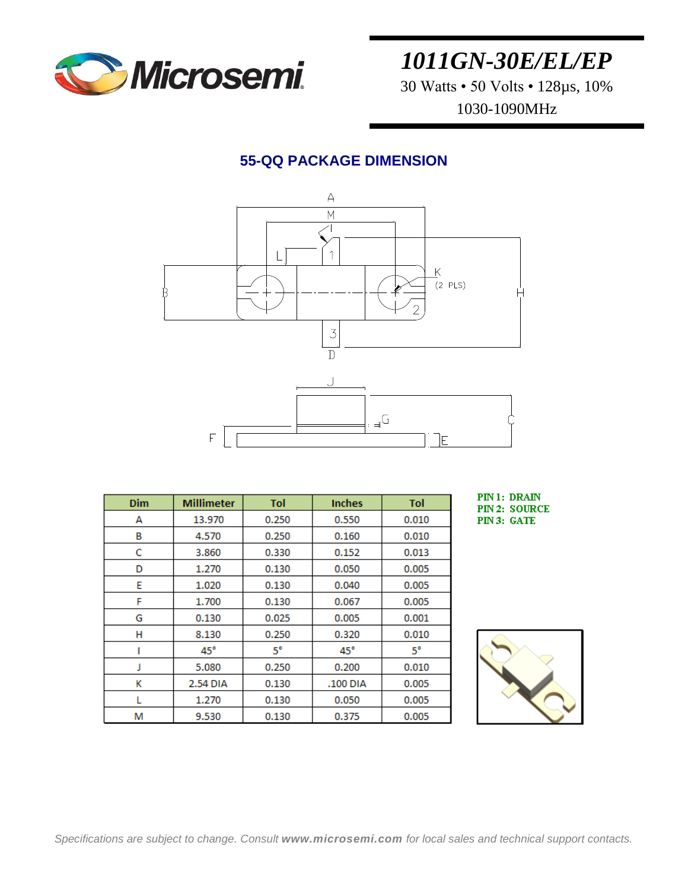

30 Watts • 50 Volts • 128µs, 10% 1030-1090MHz

### **55-QQ PACKAGE DIMENSION**



| Dim | <b>Millimeter</b> | Tol   | <b>Inches</b> | Tol         |
|-----|-------------------|-------|---------------|-------------|
| А   | 13.970            | 0.250 | 0.550         | 0.010       |
| в   | 4.570             | 0.250 | 0.160         | 0.010       |
| с   | 3.860             | 0.330 | 0.152         | 0.013       |
| D   | 1.270             | 0.130 | 0.050         | 0.005       |
| E   | 1.020             | 0.130 | 0.040         | 0.005       |
| F   | 1.700             | 0.130 | 0.067         | 0.005       |
| G   | 0.130             | 0.025 | 0.005         | 0.001       |
| н   | 8.130             | 0.250 | 0.320         | 0.010       |
|     | $45^{\circ}$      | 5°    | $45^{\circ}$  | $5^{\circ}$ |
| 1   | 5.080             | 0.250 | 0.200         | 0.010       |
| κ   | 2.54 DIA          | 0.130 | .100 DIA      | 0.005       |
|     | 1.270             | 0.130 | 0.050         | 0.005       |
| м   | 9.530             | 0.130 | 0.375         | 0.005       |

PIN 1: DRAIN **PIN 2: SOURCE** PIN 3: GATE

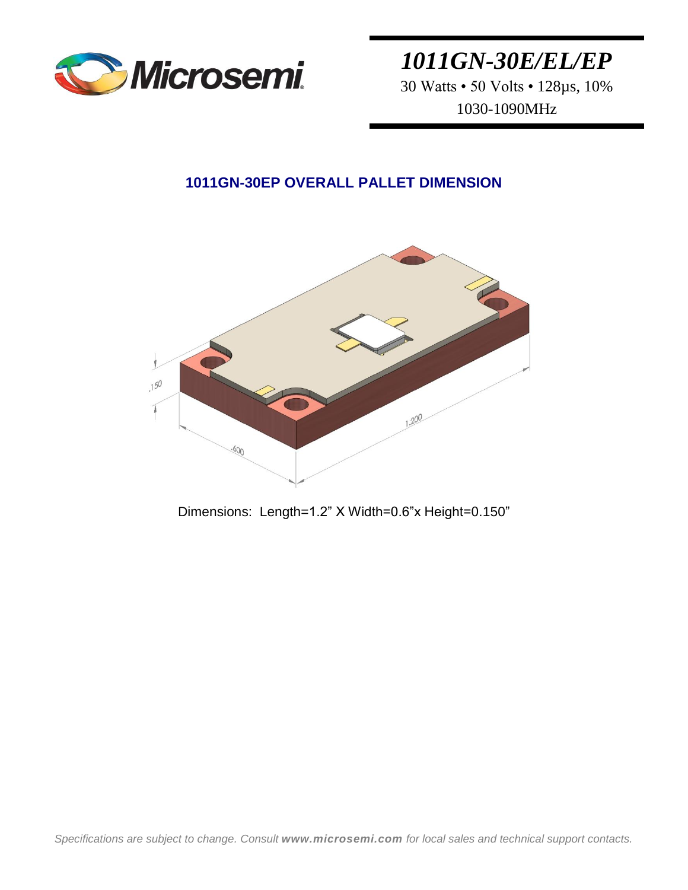

30 Watts • 50 Volts • 128µs, 10% 1030-1090MHz

### **1011GN-30EP OVERALL PALLET DIMENSION**



Dimensions: Length=1.2" X Width=0.6"x Height=0.150"